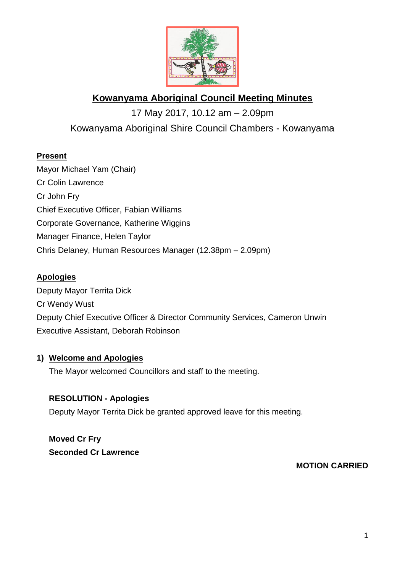

# **Kowanyama Aboriginal Council Meeting Minutes**

17 May 2017, 10.12 am – 2.09pm Kowanyama Aboriginal Shire Council Chambers - Kowanyama

# **Present**

Mayor Michael Yam (Chair) Cr Colin Lawrence Cr John Fry Chief Executive Officer, Fabian Williams Corporate Governance, Katherine Wiggins Manager Finance, Helen Taylor Chris Delaney, Human Resources Manager (12.38pm – 2.09pm)

# **Apologies**

Deputy Mayor Territa Dick Cr Wendy Wust Deputy Chief Executive Officer & Director Community Services, Cameron Unwin Executive Assistant, Deborah Robinson

# **1) Welcome and Apologies**

The Mayor welcomed Councillors and staff to the meeting.

# **RESOLUTION - Apologies**

Deputy Mayor Territa Dick be granted approved leave for this meeting.

**Moved Cr Fry Seconded Cr Lawrence**

# **MOTION CARRIED**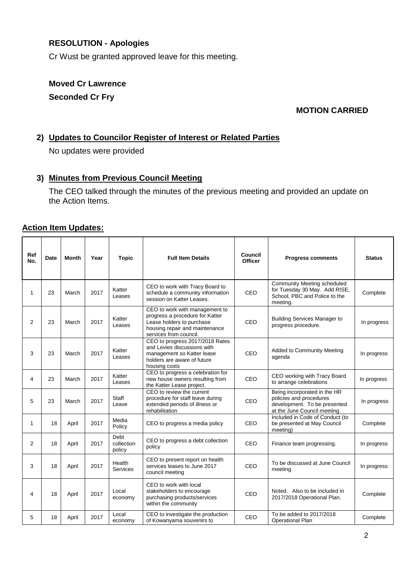# **RESOLUTION - Apologies**

Cr Wust be granted approved leave for this meeting.

# **Moved Cr Lawrence Seconded Cr Fry**

## **MOTION CARRIED**

#### **2) Updates to Councilor Register of Interest or Related Parties**

No updates were provided

#### **3) Minutes from Previous Council Meeting**

The CEO talked through the minutes of the previous meeting and provided an update on the Action Items.

#### **Action Item Updates:**

| Ref<br>No.   | Date | <b>Month</b> | Year | <b>Topic</b>                 | <b>Full Item Details</b>                                                                                                                                   | Council<br><b>Officer</b> | <b>Progress comments</b>                                                                                                | <b>Status</b> |
|--------------|------|--------------|------|------------------------------|------------------------------------------------------------------------------------------------------------------------------------------------------------|---------------------------|-------------------------------------------------------------------------------------------------------------------------|---------------|
| $\mathbf{1}$ | 23   | March        | 2017 | Katter<br>Leases             | CEO to work with Tracy Board to<br>schedule a community information<br>session on Katter Leases.                                                           | CEO                       | <b>Community Meeting scheduled</b><br>for Tuesday 30 May. Add RISE,<br>School. PBC and Police to the<br>meeting.        | Complete      |
| 2            | 23   | March        | 2017 | Katter<br>Leases             | CEO to work with management to<br>progress a procedure for Katter<br>Lease holders to purchase<br>housing repair and maintenance<br>services from council. | CEO                       | <b>Building Services Manager to</b><br>progress procedure.                                                              | In progress   |
| 3            | 23   | March        | 2017 | Katter<br>Leases             | CEO to progress 2017/2018 Rates<br>and Levies discussions with<br>management so Katter lease<br>holders are aware of future<br>housing costs               | CEO                       | Added to Community Meeting<br>agenda                                                                                    | In progress   |
| 4            | 23   | March        | 2017 | Katter<br>Leases             | CEO to progress a celebration for<br>new house owners resulting from<br>the Katter Lease project.                                                          | CEO                       | CEO working with Tracy Board<br>to arrange celebrations                                                                 | In progress   |
| 5            | 23   | March        | 2017 | Staff<br>Leave               | CEO to review the current<br>procedure for staff leave during<br>extended periods of illness or<br>rehabilitation                                          | CEO                       | Being incorporated in the HR<br>policies and procedures<br>development. To be presented<br>at the June Council meeting. | In progress   |
| 1            | 18   | April        | 2017 | Media<br>Policy              | CEO to progress a media policy                                                                                                                             | CEO                       | Included in Code of Conduct (to<br>be presented at May Council<br>meeting)                                              | Complete      |
| 2            | 18   | April        | 2017 | Debt<br>collection<br>policy | CEO to progress a debt collection<br>policy                                                                                                                | CEO                       | Finance team progressing.                                                                                               | In progress   |
| 3            | 18   | April        | 2017 | Health<br>Services           | CEO to present report on health<br>services leases to June 2017<br>council meeting                                                                         | CEO                       | To be discussed at June Council<br>meeting.                                                                             | In progress   |
| 4            | 18   | April        | 2017 | Local<br>economy             | CEO to work with local<br>stakeholders to encourage<br>purchasing products/services<br>within the community                                                | CEO                       | Noted. Also to be included in<br>2017/2018 Operational Plan.                                                            | Complete      |
| 5            | 18   | April        | 2017 | Local<br>economy             | CEO to investigate the production<br>of Kowanyama souvenirs to                                                                                             | CEO                       | To be added to 2017/2018<br><b>Operational Plan</b>                                                                     | Complete      |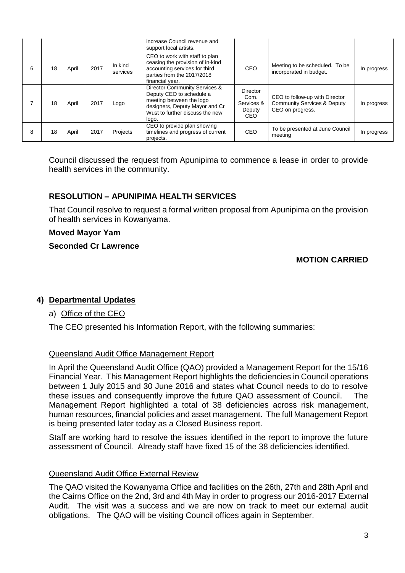|   |    |       |      |                     | increase Council revenue and<br>support local artists.                                                                                                              |                                                 |                                                                                              |             |
|---|----|-------|------|---------------------|---------------------------------------------------------------------------------------------------------------------------------------------------------------------|-------------------------------------------------|----------------------------------------------------------------------------------------------|-------------|
| 6 | 18 | April | 2017 | In kind<br>services | CEO to work with staff to plan<br>ceasing the provision of in-kind<br>accounting services for third<br>parties from the 2017/2018<br>financial year.                | CEO                                             | Meeting to be scheduled. To be<br>incorporated in budget.                                    | In progress |
|   | 18 | April | 2017 | Logo                | Director Community Services &<br>Deputy CEO to schedule a<br>meeting between the logo<br>designers, Deputy Mayor and Cr<br>Wust to further discuss the new<br>logo. | Director<br>Com.<br>Services &<br>Deputy<br>CEO | CEO to follow-up with Director<br><b>Community Services &amp; Deputy</b><br>CEO on progress. | In progress |
| 8 | 18 | April | 2017 | Projects            | CEO to provide plan showing<br>timelines and progress of current<br>projects.                                                                                       | CEO                                             | To be presented at June Council<br>meeting                                                   | In progress |

Council discussed the request from Apunipima to commence a lease in order to provide health services in the community.

## **RESOLUTION – APUNIPIMA HEALTH SERVICES**

That Council resolve to request a formal written proposal from Apunipima on the provision of health services in Kowanyama.

#### **Moved Mayor Yam**

#### **Seconded Cr Lawrence**

## **MOTION CARRIED**

## **4) Departmental Updates**

## a) Office of the CEO

The CEO presented his Information Report, with the following summaries:

#### Queensland Audit Office Management Report

In April the Queensland Audit Office (QAO) provided a Management Report for the 15/16 Financial Year. This Management Report highlights the deficiencies in Council operations between 1 July 2015 and 30 June 2016 and states what Council needs to do to resolve these issues and consequently improve the future QAO assessment of Council. The Management Report highlighted a total of 38 deficiencies across risk management, human resources, financial policies and asset management. The full Management Report is being presented later today as a Closed Business report.

Staff are working hard to resolve the issues identified in the report to improve the future assessment of Council. Already staff have fixed 15 of the 38 deficiencies identified.

#### Queensland Audit Office External Review

The QAO visited the Kowanyama Office and facilities on the 26th, 27th and 28th April and the Cairns Office on the 2nd, 3rd and 4th May in order to progress our 2016-2017 External Audit. The visit was a success and we are now on track to meet our external audit obligations. The QAO will be visiting Council offices again in September.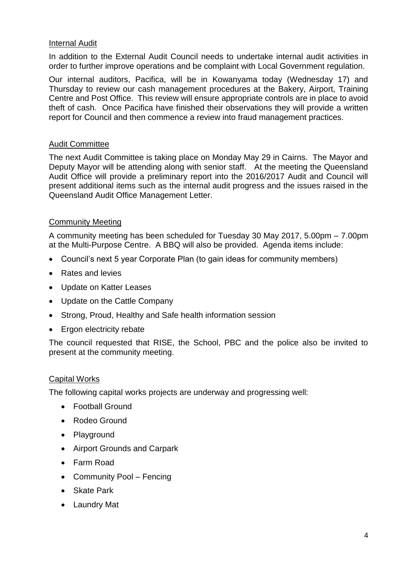#### Internal Audit

In addition to the External Audit Council needs to undertake internal audit activities in order to further improve operations and be complaint with Local Government regulation.

Our internal auditors, Pacifica, will be in Kowanyama today (Wednesday 17) and Thursday to review our cash management procedures at the Bakery, Airport, Training Centre and Post Office. This review will ensure appropriate controls are in place to avoid theft of cash. Once Pacifica have finished their observations they will provide a written report for Council and then commence a review into fraud management practices.

#### Audit Committee

The next Audit Committee is taking place on Monday May 29 in Cairns. The Mayor and Deputy Mayor will be attending along with senior staff. At the meeting the Queensland Audit Office will provide a preliminary report into the 2016/2017 Audit and Council will present additional items such as the internal audit progress and the issues raised in the Queensland Audit Office Management Letter.

#### Community Meeting

A community meeting has been scheduled for Tuesday 30 May 2017, 5.00pm – 7.00pm at the Multi-Purpose Centre. A BBQ will also be provided. Agenda items include:

- Council's next 5 year Corporate Plan (to gain ideas for community members)
- Rates and levies
- Update on Katter Leases
- Update on the Cattle Company
- Strong, Proud, Healthy and Safe health information session
- Ergon electricity rebate

The council requested that RISE, the School, PBC and the police also be invited to present at the community meeting.

## Capital Works

The following capital works projects are underway and progressing well:

- Football Ground
- Rodeo Ground
- Playground
- Airport Grounds and Carpark
- Farm Road
- Community Pool Fencing
- Skate Park
- Laundry Mat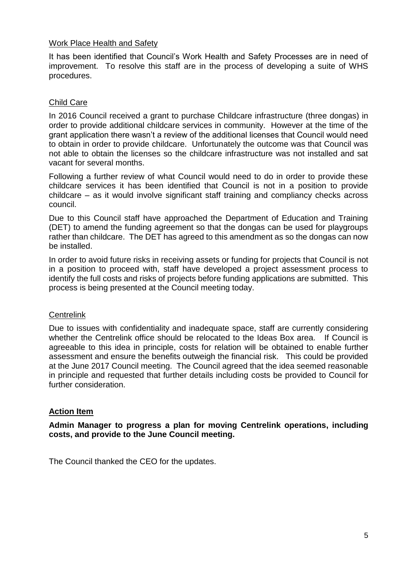#### Work Place Health and Safety

It has been identified that Council's Work Health and Safety Processes are in need of improvement. To resolve this staff are in the process of developing a suite of WHS procedures.

#### Child Care

In 2016 Council received a grant to purchase Childcare infrastructure (three dongas) in order to provide additional childcare services in community. However at the time of the grant application there wasn't a review of the additional licenses that Council would need to obtain in order to provide childcare. Unfortunately the outcome was that Council was not able to obtain the licenses so the childcare infrastructure was not installed and sat vacant for several months.

Following a further review of what Council would need to do in order to provide these childcare services it has been identified that Council is not in a position to provide childcare – as it would involve significant staff training and compliancy checks across council.

Due to this Council staff have approached the Department of Education and Training (DET) to amend the funding agreement so that the dongas can be used for playgroups rather than childcare. The DET has agreed to this amendment as so the dongas can now be installed.

In order to avoid future risks in receiving assets or funding for projects that Council is not in a position to proceed with, staff have developed a project assessment process to identify the full costs and risks of projects before funding applications are submitted. This process is being presented at the Council meeting today.

#### **Centrelink**

Due to issues with confidentiality and inadequate space, staff are currently considering whether the Centrelink office should be relocated to the Ideas Box area. If Council is agreeable to this idea in principle, costs for relation will be obtained to enable further assessment and ensure the benefits outweigh the financial risk. This could be provided at the June 2017 Council meeting. The Council agreed that the idea seemed reasonable in principle and requested that further details including costs be provided to Council for further consideration

#### **Action Item**

**Admin Manager to progress a plan for moving Centrelink operations, including costs, and provide to the June Council meeting.**

The Council thanked the CEO for the updates.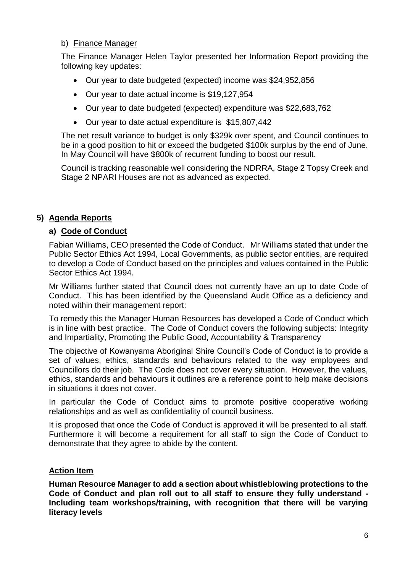#### b) Finance Manager

The Finance Manager Helen Taylor presented her Information Report providing the following key updates:

- Our year to date budgeted (expected) income was \$24,952,856
- Our year to date actual income is \$19,127,954
- Our year to date budgeted (expected) expenditure was \$22,683,762
- Our year to date actual expenditure is \$15,807,442

The net result variance to budget is only \$329k over spent, and Council continues to be in a good position to hit or exceed the budgeted \$100k surplus by the end of June. In May Council will have \$800k of recurrent funding to boost our result.

Council is tracking reasonable well considering the NDRRA, Stage 2 Topsy Creek and Stage 2 NPARI Houses are not as advanced as expected.

# **5) Agenda Reports**

## **a) Code of Conduct**

Fabian Williams, CEO presented the Code of Conduct. Mr Williams stated that under the Public Sector Ethics Act 1994, Local Governments, as public sector entities, are required to develop a Code of Conduct based on the principles and values contained in the Public Sector Ethics Act 1994.

Mr Williams further stated that Council does not currently have an up to date Code of Conduct. This has been identified by the Queensland Audit Office as a deficiency and noted within their management report:

To remedy this the Manager Human Resources has developed a Code of Conduct which is in line with best practice. The Code of Conduct covers the following subjects: Integrity and Impartiality, Promoting the Public Good, Accountability & Transparency

The objective of Kowanyama Aboriginal Shire Council's Code of Conduct is to provide a set of values, ethics, standards and behaviours related to the way employees and Councillors do their job. The Code does not cover every situation. However, the values, ethics, standards and behaviours it outlines are a reference point to help make decisions in situations it does not cover.

In particular the Code of Conduct aims to promote positive cooperative working relationships and as well as confidentiality of council business.

It is proposed that once the Code of Conduct is approved it will be presented to all staff. Furthermore it will become a requirement for all staff to sign the Code of Conduct to demonstrate that they agree to abide by the content.

# **Action Item**

**Human Resource Manager to add a section about whistleblowing protections to the Code of Conduct and plan roll out to all staff to ensure they fully understand - Including team workshops/training, with recognition that there will be varying literacy levels**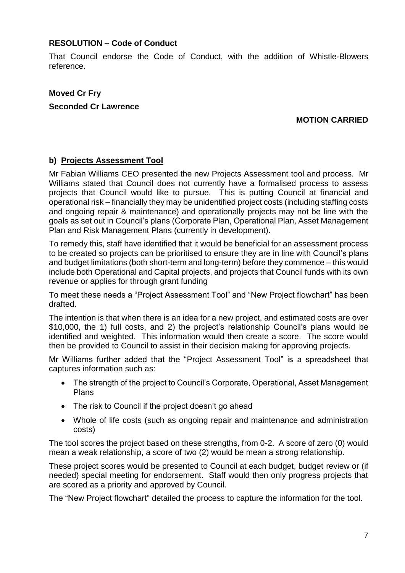#### **RESOLUTION – Code of Conduct**

That Council endorse the Code of Conduct, with the addition of Whistle-Blowers reference.

# **Moved Cr Fry Seconded Cr Lawrence**

## **MOTION CARRIED**

#### **b) Projects Assessment Tool**

Mr Fabian Williams CEO presented the new Projects Assessment tool and process. Mr Williams stated that Council does not currently have a formalised process to assess projects that Council would like to pursue. This is putting Council at financial and operational risk – financially they may be unidentified project costs (including staffing costs and ongoing repair & maintenance) and operationally projects may not be line with the goals as set out in Council's plans (Corporate Plan, Operational Plan, Asset Management Plan and Risk Management Plans (currently in development).

To remedy this, staff have identified that it would be beneficial for an assessment process to be created so projects can be prioritised to ensure they are in line with Council's plans and budget limitations (both short-term and long-term) before they commence – this would include both Operational and Capital projects, and projects that Council funds with its own revenue or applies for through grant funding

To meet these needs a "Project Assessment Tool" and "New Project flowchart" has been drafted.

The intention is that when there is an idea for a new project, and estimated costs are over \$10,000, the 1) full costs, and 2) the project's relationship Council's plans would be identified and weighted. This information would then create a score. The score would then be provided to Council to assist in their decision making for approving projects.

Mr Williams further added that the "Project Assessment Tool" is a spreadsheet that captures information such as:

- The strength of the project to Council's Corporate, Operational, Asset Management Plans
- The risk to Council if the project doesn't go ahead
- Whole of life costs (such as ongoing repair and maintenance and administration costs)

The tool scores the project based on these strengths, from 0-2. A score of zero (0) would mean a weak relationship, a score of two (2) would be mean a strong relationship.

These project scores would be presented to Council at each budget, budget review or (if needed) special meeting for endorsement. Staff would then only progress projects that are scored as a priority and approved by Council.

The "New Project flowchart" detailed the process to capture the information for the tool.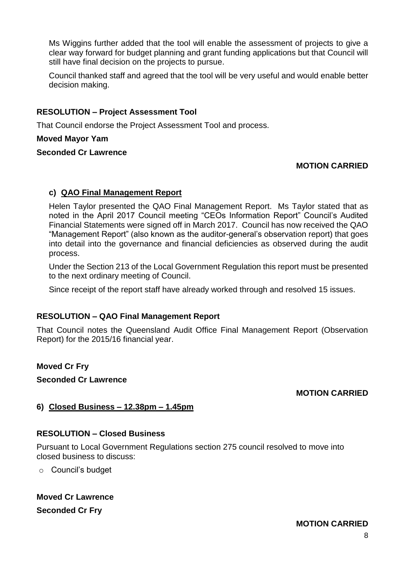Ms Wiggins further added that the tool will enable the assessment of projects to give a clear way forward for budget planning and grant funding applications but that Council will still have final decision on the projects to pursue.

Council thanked staff and agreed that the tool will be very useful and would enable better decision making.

## **RESOLUTION – Project Assessment Tool**

That Council endorse the Project Assessment Tool and process.

#### **Moved Mayor Yam**

#### **Seconded Cr Lawrence**

## **MOTION CARRIED**

#### **c) QAO Final Management Report**

Helen Taylor presented the QAO Final Management Report. Ms Taylor stated that as noted in the April 2017 Council meeting "CEOs Information Report" Council's Audited Financial Statements were signed off in March 2017. Council has now received the QAO "Management Report" (also known as the auditor-general's observation report) that goes into detail into the governance and financial deficiencies as observed during the audit process.

Under the Section 213 of the Local Government Regulation this report must be presented to the next ordinary meeting of Council.

Since receipt of the report staff have already worked through and resolved 15 issues.

## **RESOLUTION – QAO Final Management Report**

That Council notes the Queensland Audit Office Final Management Report (Observation Report) for the 2015/16 financial year.

**Moved Cr Fry**

**Seconded Cr Lawrence**

## **MOTION CARRIED**

## **6) Closed Business – 12.38pm – 1.45pm**

## **RESOLUTION – Closed Business**

Pursuant to Local Government Regulations section 275 council resolved to move into closed business to discuss:

o Council's budget

# **Moved Cr Lawrence**

**Seconded Cr Fry**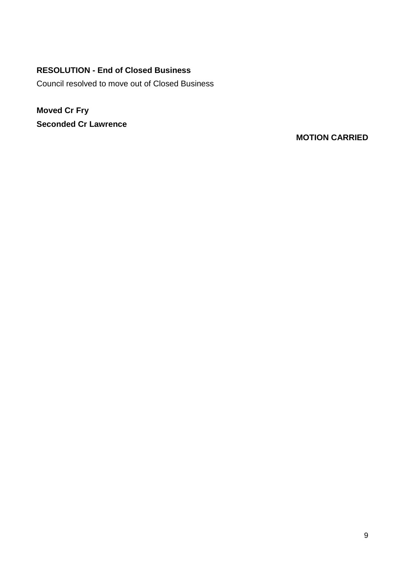# **RESOLUTION - End of Closed Business**

Council resolved to move out of Closed Business

**Moved Cr Fry Seconded Cr Lawrence**

**MOTION CARRIED**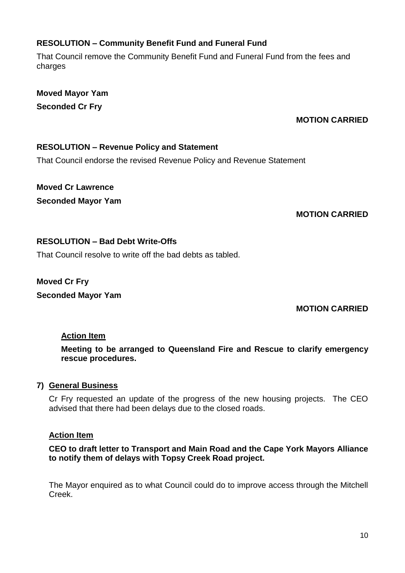# **RESOLUTION – Community Benefit Fund and Funeral Fund**

That Council remove the Community Benefit Fund and Funeral Fund from the fees and charges

**Moved Mayor Yam Seconded Cr Fry**

# **MOTION CARRIED**

# **RESOLUTION – Revenue Policy and Statement**

That Council endorse the revised Revenue Policy and Revenue Statement

**Moved Cr Lawrence Seconded Mayor Yam**

# **MOTION CARRIED**

# **RESOLUTION – Bad Debt Write-Offs**

That Council resolve to write off the bad debts as tabled.

**Moved Cr Fry Seconded Mayor Yam**

**MOTION CARRIED**

# **Action Item**

**Meeting to be arranged to Queensland Fire and Rescue to clarify emergency rescue procedures.**

# **7) General Business**

Cr Fry requested an update of the progress of the new housing projects. The CEO advised that there had been delays due to the closed roads.

# **Action Item**

**CEO to draft letter to Transport and Main Road and the Cape York Mayors Alliance to notify them of delays with Topsy Creek Road project.**

The Mayor enquired as to what Council could do to improve access through the Mitchell Creek.